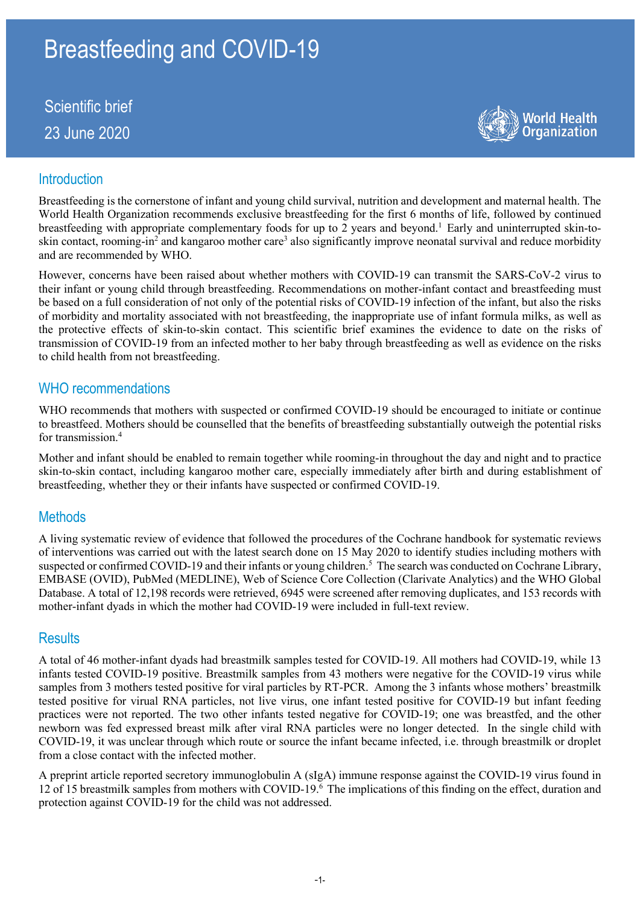# Breastfeeding and COVID-19

Scientific brief 23 June 2020



## **Introduction**

Breastfeeding is the cornerstone of infant and young child survival, nutrition and development and maternal health. The World Health Organization recommends exclusive breastfeeding for the first 6 months of life, followed by continued breastfeeding with appropriate complementary foods for up to 2 years and beyond.<sup>1</sup> Early and uninterrupted skin-toskin contact, rooming-in<sup>2</sup> and kangaroo mother care<sup>3</sup> also significantly improve neonatal survival and reduce morbidity and are recommended by WHO.

However, concerns have been raised about whether mothers with COVID-19 can transmit the SARS-CoV-2 virus to their infant or young child through breastfeeding. Recommendations on mother-infant contact and breastfeeding must be based on a full consideration of not only of the potential risks of COVID-19 infection of the infant, but also the risks of morbidity and mortality associated with not breastfeeding, the inappropriate use of infant formula milks, as well as the protective effects of skin-to-skin contact. This scientific brief examines the evidence to date on the risks of transmission of COVID-19 from an infected mother to her baby through breastfeeding as well as evidence on the risks to child health from not breastfeeding.

#### WHO recommendations

WHO recommends that mothers with suspected or confirmed COVID-19 should be encouraged to initiate or continue to breastfeed. Mothers should be counselled that the benefits of breastfeeding substantially outweigh the potential risks for transmission.<sup>4</sup>

Mother and infant should be enabled to remain together while rooming-in throughout the day and night and to practice skin-to-skin contact, including kangaroo mother care, especially immediately after birth and during establishment of breastfeeding, whether they or their infants have suspected or confirmed COVID-19.

## **Methods**

A living systematic review of evidence that followed the procedures of the Cochrane handbook for systematic reviews of interventions was carried out with the latest search done on 15 May 2020 to identify studies including mothers with suspected or confirmed COVID-19 and their infants or young children.<sup>5</sup> The search was conducted on Cochrane Library, EMBASE (OVID), PubMed (MEDLINE), Web of Science Core Collection (Clarivate Analytics) and the WHO Global Database. A total of 12,198 records were retrieved, 6945 were screened after removing duplicates, and 153 records with mother-infant dyads in which the mother had COVID-19 were included in full-text review.

## **Results**

A total of 46 mother-infant dyads had breastmilk samples tested for COVID-19. All mothers had COVID-19, while 13 infants tested COVID-19 positive. Breastmilk samples from 43 mothers were negative for the COVID-19 virus while samples from 3 mothers tested positive for viral particles by RT-PCR. Among the 3 infants whose mothers' breastmilk tested positive for virual RNA particles, not live virus, one infant tested positive for COVID-19 but infant feeding practices were not reported. The two other infants tested negative for COVID-19; one was breastfed, and the other newborn was fed expressed breast milk after viral RNA particles were no longer detected. In the single child with COVID-19, it was unclear through which route or source the infant became infected, i.e. through breastmilk or droplet from a close contact with the infected mother.

A preprint article reported secretory immunoglobulin A (sIgA) immune response against the COVID-19 virus found in 12 of 15 breastmilk samples from mothers with COVID-19.6 The implications of this finding on the effect, duration and protection against COVID-19 for the child was not addressed.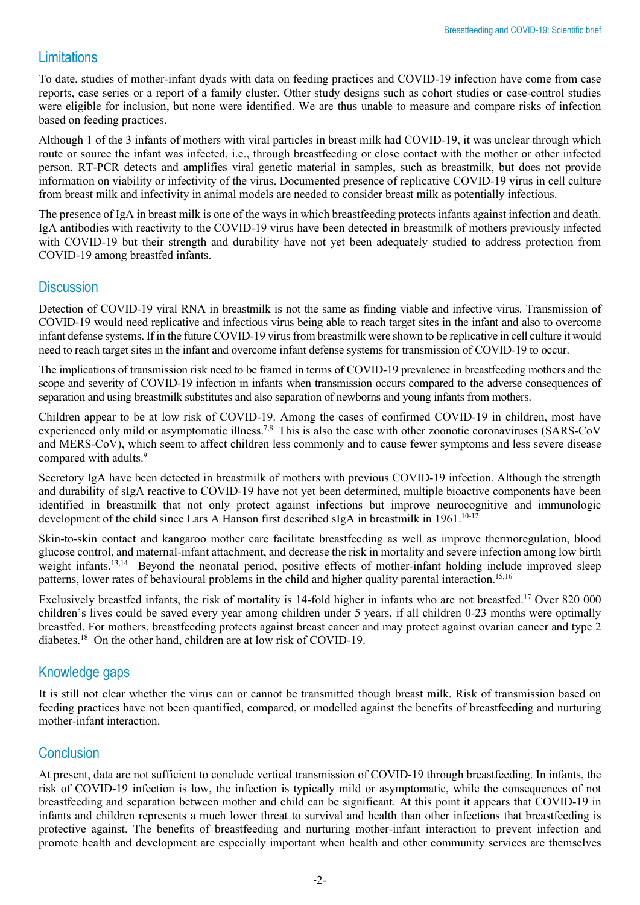# Limitations

To date, studies of mother-infant dyads with data on feeding practices and COVID-19 infection have come from case reports, case series or a report of a family cluster. Other study designs such as cohort studies or case-control studies were eligible for inclusion, but none were identified. We are thus unable to measure and compare risks of infection based on feeding practices.

Although 1 of the 3 infants of mothers with viral particles in breast milk had COVID-19, it was unclear through which route or source the infant was infected, i.e., through breastfeeding or close contact with the mother or other infected person. RT-PCR detects and amplifies viral genetic material in samples, such as breastmilk, but does not provide information on viability or infectivity of the virus. Documented presence of replicative COVID-19 virus in cell culture from breast milk and infectivity in animal models are needed to consider breast milk as potentially infectious.

The presence of IgA in breast milk is one of the ways in which breastfeeding protects infants against infection and death. IgA antibodies with reactivity to the COVID-19 virus have been detected in breastmilk of mothers previously infected with COVID-19 but their strength and durability have not yet been adequately studied to address protection from COVID-19 among breastfed infants.

## **Discussion**

Detection of COVID-19 viral RNA in breastmilk is not the same as finding viable and infective virus. Transmission of COVID-19 would need replicative and infectious virus being able to reach target sites in the infant and also to overcome infant defense systems. If in the future COVID-19 virus from breastmilk were shown to be replicative in cell culture it would need to reach target sites in the infant and overcome infant defense systems for transmission of COVID-19 to occur.

The implications of transmission risk need to be framed in terms of COVID-19 prevalence in breastfeeding mothers and the scope and severity of COVID-19 infection in infants when transmission occurs compared to the adverse consequences of separation and using breastmilk substitutes and also separation of newborns and young infants from mothers.

Children appear to be at low risk of COVID-19. Among the cases of confirmed COVID-19 in children, most have experienced only mild or asymptomatic illness.<sup>7,8</sup> This is also the case with other zoonotic coronaviruses (SARS-CoV and MERS-CoV), which seem to affect children less commonly and to cause fewer symptoms and less severe disease compared with adults.<sup>9</sup>

Secretory IgA have been detected in breastmilk of mothers with previous COVID-19 infection. Although the strength and durability of sIgA reactive to COVID-19 have not yet been determined, multiple bioactive components have been identified in breastmilk that not only protect against infections but improve neurocognitive and immunologic development of the child since Lars A Hanson first described sIgA in breastmilk in 1961.<sup>10-12</sup>

Skin-to-skin contact and kangaroo mother care facilitate breastfeeding as well as improve thermoregulation, blood glucose control, and maternal-infant attachment, and decrease the risk in mortality and severe infection among low birth weight infants.<sup>13,14</sup> Beyond the neonatal period, positive effects of mother-infant holding include improved sleep patterns, lower rates of behavioural problems in the child and higher quality parental interaction.<sup>15,16</sup>

Exclusively breastfed infants, the risk of mortality is 14-fold higher in infants who are not breastfed.<sup>17</sup> Over 820 000 children's lives could be saved every year among children under 5 years, if all children 0-23 months were optimally breastfed. For mothers, breastfeeding protects against breast cancer and may protect against ovarian cancer and type 2 diabetes.18 On the other hand, children are at low risk of COVID-19.

# Knowledge gaps

It is still not clear whether the virus can or cannot be transmitted though breast milk. Risk of transmission based on feeding practices have not been quantified, compared, or modelled against the benefits of breastfeeding and nurturing mother-infant interaction.

## **Conclusion**

At present, data are not sufficient to conclude vertical transmission of COVID-19 through breastfeeding. In infants, the risk of COVID-19 infection is low, the infection is typically mild or asymptomatic, while the consequences of not breastfeeding and separation between mother and child can be significant. At this point it appears that COVID-19 in infants and children represents a much lower threat to survival and health than other infections that breastfeeding is protective against. The benefits of breastfeeding and nurturing mother-infant interaction to prevent infection and promote health and development are especially important when health and other community services are themselves